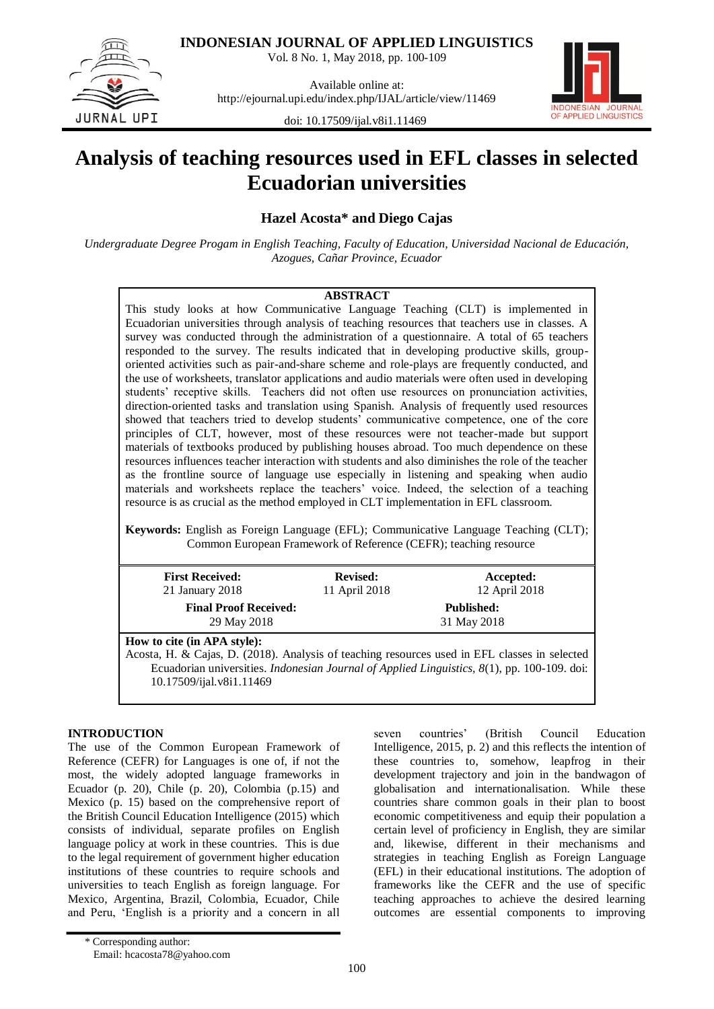**INDONESIAN JOURNAL OF APPLIED LINGUISTICS**

Vol. 8 No. 1, May 2018, pp. 100-109



Available online at: http://ejournal.upi.edu/index.php/IJAL/article/view/11469



doi: 10.17509/ijal.v8i1.11469

# **Analysis of teaching resources used in EFL classes in selected Ecuadorian universities**

**Hazel Acosta\* and Diego Cajas**

*Undergraduate Degree Progam in English Teaching, Faculty of Education, Universidad Nacional de Educación, Azogues, Cañar Province, Ecuador*

# **ABSTRACT**

This study looks at how Communicative Language Teaching (CLT) is implemented in Ecuadorian universities through analysis of teaching resources that teachers use in classes. A survey was conducted through the administration of a questionnaire. A total of 65 teachers responded to the survey. The results indicated that in developing productive skills, grouporiented activities such as pair-and-share scheme and role-plays are frequently conducted, and the use of worksheets, translator applications and audio materials were often used in developing students' receptive skills. Teachers did not often use resources on pronunciation activities, direction-oriented tasks and translation using Spanish. Analysis of frequently used resources showed that teachers tried to develop students" communicative competence, one of the core principles of CLT, however, most of these resources were not teacher-made but support materials of textbooks produced by publishing houses abroad. Too much dependence on these resources influences teacher interaction with students and also diminishes the role of the teacher as the frontline source of language use especially in listening and speaking when audio materials and worksheets replace the teachers" voice. Indeed, the selection of a teaching resource is as crucial as the method employed in CLT implementation in EFL classroom.

**Keywords:** English as Foreign Language (EFL); Communicative Language Teaching (CLT); Common European Framework of Reference (CEFR); teaching resource

| <b>First Received:</b><br>21 January $2018$                                                                                  | <b>Revised:</b><br>11 April 2018 | Accepted:<br>12 April 2018       |
|------------------------------------------------------------------------------------------------------------------------------|----------------------------------|----------------------------------|
| <b>Final Proof Received:</b><br>29 May 2018                                                                                  |                                  | <b>Published:</b><br>31 May 2018 |
| How to cite (in APA style):<br>Acosta, H. & Cajas, D. (2018). Analysis of teaching resources used in EFL classes in selected |                                  |                                  |

Ecuadorian universities. *Indonesian Journal of Applied Linguistics, 8*(1), pp. 100-109. doi: [10.17509/ijal.v8i1.11469](http://dx.doi.org/10.17509/ijal.v8i1.11469)

# **INTRODUCTION**

The use of the Common European Framework of Reference (CEFR) for Languages is one of, if not the most, the widely adopted language frameworks in Ecuador (p. 20), Chile (p. 20), Colombia (p.15) and Mexico (p. 15) based on the comprehensive report of the British Council Education Intelligence (2015) which consists of individual, separate profiles on English language policy at work in these countries. This is due to the legal requirement of government higher education institutions of these countries to require schools and universities to teach English as foreign language. For Mexico, Argentina, Brazil, Colombia, Ecuador, Chile and Peru, "English is a priority and a concern in all seven countries" (British Council Education Intelligence, 2015, p. 2) and this reflects the intention of these countries to, somehow, leapfrog in their development trajectory and join in the bandwagon of globalisation and internationalisation. While these countries share common goals in their plan to boost economic competitiveness and equip their population a certain level of proficiency in English, they are similar and, likewise, different in their mechanisms and strategies in teaching English as Foreign Language (EFL) in their educational institutions. The adoption of frameworks like the CEFR and the use of specific teaching approaches to achieve the desired learning outcomes are essential components to improving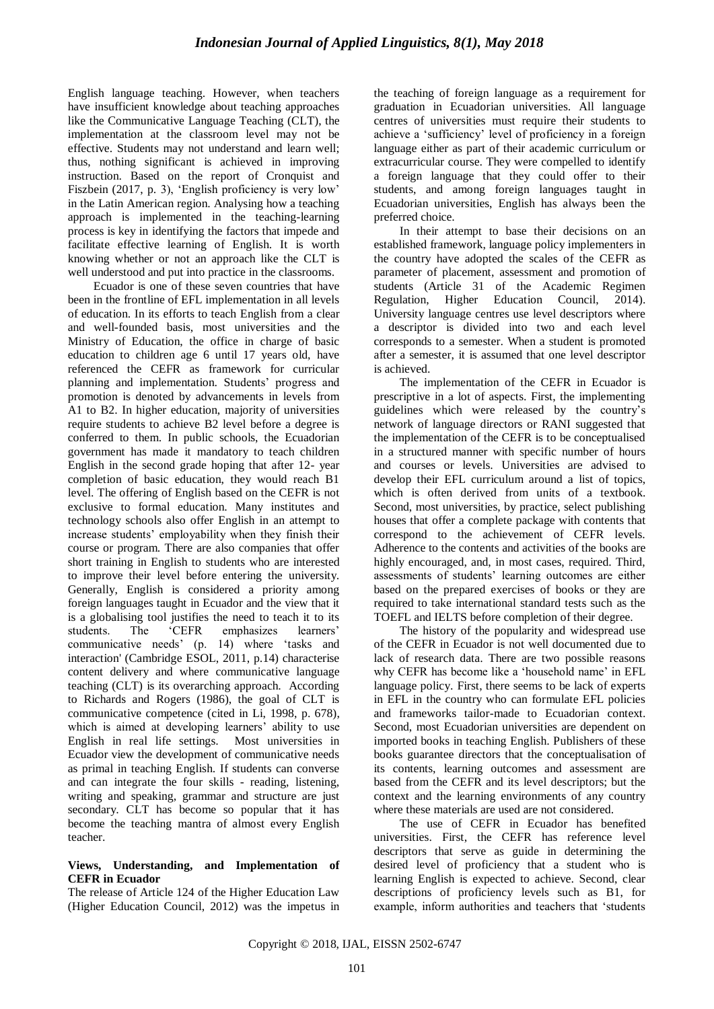English language teaching. However, when teachers have insufficient knowledge about teaching approaches like the Communicative Language Teaching (CLT), the implementation at the classroom level may not be effective. Students may not understand and learn well; thus, nothing significant is achieved in improving instruction. Based on the report of Cronquist and Fiszbein (2017, p. 3), 'English proficiency is very low' in the Latin American region. Analysing how a teaching approach is implemented in the teaching-learning process is key in identifying the factors that impede and facilitate effective learning of English. It is worth knowing whether or not an approach like the CLT is well understood and put into practice in the classrooms.

Ecuador is one of these seven countries that have been in the frontline of EFL implementation in all levels of education. In its efforts to teach English from a clear and well-founded basis, most universities and the Ministry of Education, the office in charge of basic education to children age 6 until 17 years old, have referenced the CEFR as framework for curricular planning and implementation. Students" progress and promotion is denoted by advancements in levels from A1 to B2. In higher education, majority of universities require students to achieve B2 level before a degree is conferred to them. In public schools, the Ecuadorian government has made it mandatory to teach children English in the second grade hoping that after 12- year completion of basic education, they would reach B1 level. The offering of English based on the CEFR is not exclusive to formal education. Many institutes and technology schools also offer English in an attempt to increase students' employability when they finish their course or program. There are also companies that offer short training in English to students who are interested to improve their level before entering the university. Generally, English is considered a priority among foreign languages taught in Ecuador and the view that it is a globalising tool justifies the need to teach it to its students. The 'CEFR emphasizes learners' communicative needs" (p. 14) where "tasks and interaction' (Cambridge ESOL, 2011, p.14) characterise content delivery and where communicative language teaching (CLT) is its overarching approach. According to Richards and Rogers (1986), the goal of CLT is communicative competence (cited in Li, 1998, p. 678), which is aimed at developing learners' ability to use English in real life settings. Most universities in Ecuador view the development of communicative needs as primal in teaching English. If students can converse and can integrate the four skills - reading, listening, writing and speaking, grammar and structure are just secondary. CLT has become so popular that it has become the teaching mantra of almost every English teacher.

## **Views, Understanding, and Implementation of CEFR in Ecuador**

The release of Article 124 of the Higher Education Law (Higher Education Council, 2012) was the impetus in the teaching of foreign language as a requirement for graduation in Ecuadorian universities. All language centres of universities must require their students to achieve a "sufficiency" level of proficiency in a foreign language either as part of their academic curriculum or extracurricular course. They were compelled to identify a foreign language that they could offer to their students, and among foreign languages taught in Ecuadorian universities, English has always been the preferred choice.

In their attempt to base their decisions on an established framework, language policy implementers in the country have adopted the scales of the CEFR as parameter of placement, assessment and promotion of students (Article 31 of the Academic Regimen Regulation, Higher Education Council, 2014). University language centres use level descriptors where a descriptor is divided into two and each level corresponds to a semester. When a student is promoted after a semester, it is assumed that one level descriptor is achieved.

The implementation of the CEFR in Ecuador is prescriptive in a lot of aspects. First, the implementing guidelines which were released by the country"s network of language directors or RANI suggested that the implementation of the CEFR is to be conceptualised in a structured manner with specific number of hours and courses or levels. Universities are advised to develop their EFL curriculum around a list of topics, which is often derived from units of a textbook. Second, most universities, by practice, select publishing houses that offer a complete package with contents that correspond to the achievement of CEFR levels. Adherence to the contents and activities of the books are highly encouraged, and, in most cases, required. Third, assessments of students' learning outcomes are either based on the prepared exercises of books or they are required to take international standard tests such as the TOEFL and IELTS before completion of their degree.

The history of the popularity and widespread use of the CEFR in Ecuador is not well documented due to lack of research data. There are two possible reasons why CEFR has become like a 'household name' in EFL language policy. First, there seems to be lack of experts in EFL in the country who can formulate EFL policies and frameworks tailor-made to Ecuadorian context. Second, most Ecuadorian universities are dependent on imported books in teaching English. Publishers of these books guarantee directors that the conceptualisation of its contents, learning outcomes and assessment are based from the CEFR and its level descriptors; but the context and the learning environments of any country where these materials are used are not considered.

The use of CEFR in Ecuador has benefited universities. First, the CEFR has reference level descriptors that serve as guide in determining the desired level of proficiency that a student who is learning English is expected to achieve. Second, clear descriptions of proficiency levels such as B1, for example, inform authorities and teachers that "students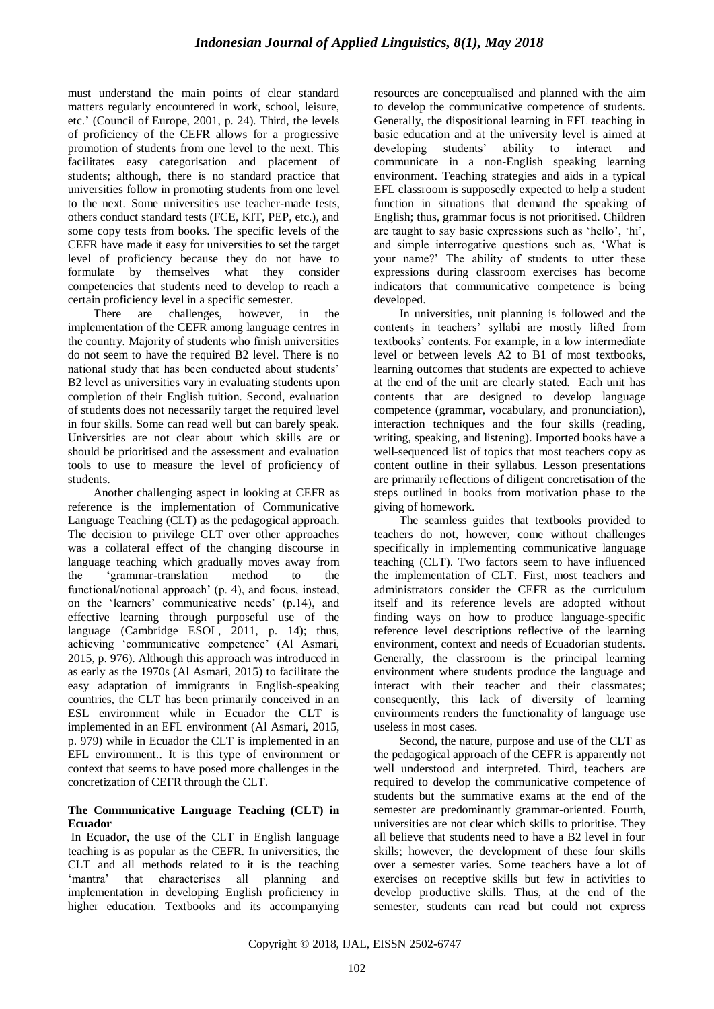must understand the main points of clear standard matters regularly encountered in work, school, leisure, etc." (Council of Europe, 2001, p. 24). Third, the levels of proficiency of the CEFR allows for a progressive promotion of students from one level to the next. This facilitates easy categorisation and placement of students; although, there is no standard practice that universities follow in promoting students from one level to the next. Some universities use teacher-made tests, others conduct standard tests (FCE, KIT, PEP, etc.), and some copy tests from books. The specific levels of the CEFR have made it easy for universities to set the target level of proficiency because they do not have to formulate by themselves what they consider competencies that students need to develop to reach a certain proficiency level in a specific semester.

There are challenges, however, in the implementation of the CEFR among language centres in the country. Majority of students who finish universities do not seem to have the required B2 level. There is no national study that has been conducted about students" B2 level as universities vary in evaluating students upon completion of their English tuition. Second, evaluation of students does not necessarily target the required level in four skills. Some can read well but can barely speak. Universities are not clear about which skills are or should be prioritised and the assessment and evaluation tools to use to measure the level of proficiency of students.

Another challenging aspect in looking at CEFR as reference is the implementation of Communicative Language Teaching (CLT) as the pedagogical approach. The decision to privilege CLT over other approaches was a collateral effect of the changing discourse in language teaching which gradually moves away from the "grammar-translation method to the functional/notional approach' (p. 4), and focus, instead, on the 'learners' communicative needs' (p.14), and effective learning through purposeful use of the language (Cambridge ESOL, 2011, p. 14); thus, achieving "communicative competence" (Al Asmari, 2015, p. 976). Although this approach was introduced in as early as the 1970s (Al Asmari, 2015) to facilitate the easy adaptation of immigrants in English-speaking countries, the CLT has been primarily conceived in an ESL environment while in Ecuador the CLT is implemented in an EFL environment (Al Asmari, 2015, p. 979) while in Ecuador the CLT is implemented in an EFL environment.. It is this type of environment or context that seems to have posed more challenges in the concretization of CEFR through the CLT.

## **The Communicative Language Teaching (CLT) in Ecuador**

In Ecuador, the use of the CLT in English language teaching is as popular as the CEFR. In universities, the CLT and all methods related to it is the teaching "mantra" that characterises all planning and implementation in developing English proficiency in higher education. Textbooks and its accompanying resources are conceptualised and planned with the aim to develop the communicative competence of students. Generally, the dispositional learning in EFL teaching in basic education and at the university level is aimed at developing students" ability to interact and communicate in a non-English speaking learning environment. Teaching strategies and aids in a typical EFL classroom is supposedly expected to help a student function in situations that demand the speaking of English; thus, grammar focus is not prioritised. Children are taught to say basic expressions such as "hello", "hi", and simple interrogative questions such as, "What is your name?" The ability of students to utter these expressions during classroom exercises has become indicators that communicative competence is being developed.

In universities, unit planning is followed and the contents in teachers" syllabi are mostly lifted from textbooks" contents. For example, in a low intermediate level or between levels A2 to B1 of most textbooks, learning outcomes that students are expected to achieve at the end of the unit are clearly stated. Each unit has contents that are designed to develop language competence (grammar, vocabulary, and pronunciation), interaction techniques and the four skills (reading, writing, speaking, and listening). Imported books have a well-sequenced list of topics that most teachers copy as content outline in their syllabus. Lesson presentations are primarily reflections of diligent concretisation of the steps outlined in books from motivation phase to the giving of homework.

The seamless guides that textbooks provided to teachers do not, however, come without challenges specifically in implementing communicative language teaching (CLT). Two factors seem to have influenced the implementation of CLT. First, most teachers and administrators consider the CEFR as the curriculum itself and its reference levels are adopted without finding ways on how to produce language-specific reference level descriptions reflective of the learning environment, context and needs of Ecuadorian students. Generally, the classroom is the principal learning environment where students produce the language and interact with their teacher and their classmates; consequently, this lack of diversity of learning environments renders the functionality of language use useless in most cases.

Second, the nature, purpose and use of the CLT as the pedagogical approach of the CEFR is apparently not well understood and interpreted. Third, teachers are required to develop the communicative competence of students but the summative exams at the end of the semester are predominantly grammar-oriented. Fourth, universities are not clear which skills to prioritise. They all believe that students need to have a B2 level in four skills; however, the development of these four skills over a semester varies. Some teachers have a lot of exercises on receptive skills but few in activities to develop productive skills. Thus, at the end of the semester, students can read but could not express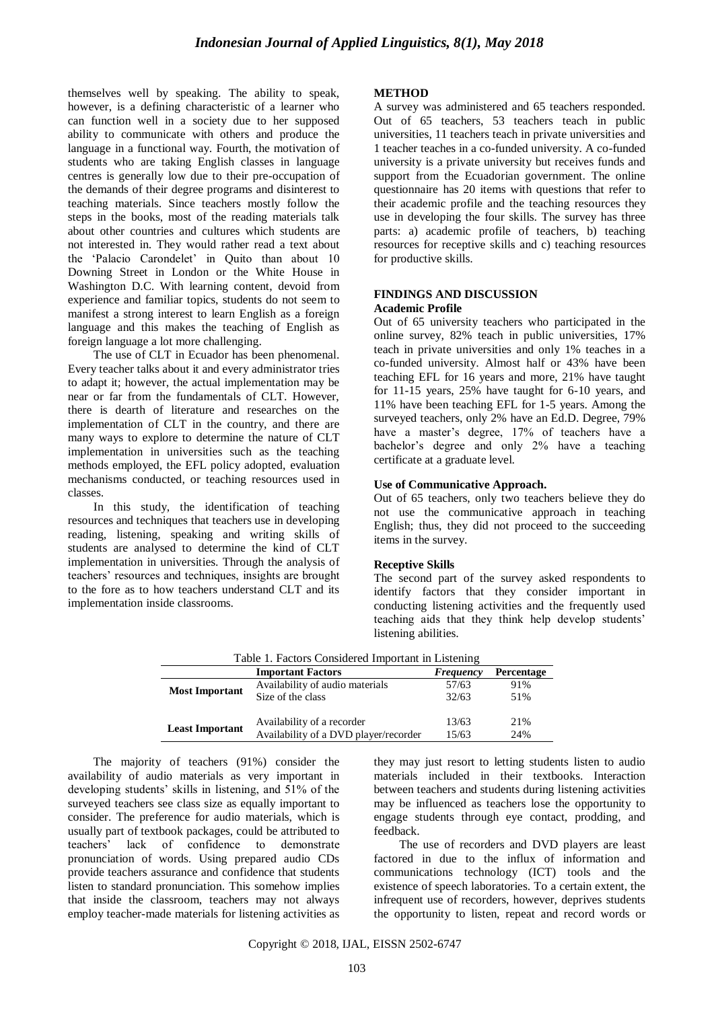themselves well by speaking. The ability to speak, however, is a defining characteristic of a learner who can function well in a society due to her supposed ability to communicate with others and produce the language in a functional way. Fourth, the motivation of students who are taking English classes in language centres is generally low due to their pre-occupation of the demands of their degree programs and disinterest to teaching materials. Since teachers mostly follow the steps in the books, most of the reading materials talk about other countries and cultures which students are not interested in. They would rather read a text about the "Palacio Carondelet" in Quito than about 10 Downing Street in London or the White House in Washington D.C. With learning content, devoid from experience and familiar topics, students do not seem to manifest a strong interest to learn English as a foreign language and this makes the teaching of English as foreign language a lot more challenging.

The use of CLT in Ecuador has been phenomenal. Every teacher talks about it and every administrator tries to adapt it; however, the actual implementation may be near or far from the fundamentals of CLT. However, there is dearth of literature and researches on the implementation of CLT in the country, and there are many ways to explore to determine the nature of CLT implementation in universities such as the teaching methods employed, the EFL policy adopted, evaluation mechanisms conducted, or teaching resources used in classes.

In this study, the identification of teaching resources and techniques that teachers use in developing reading, listening, speaking and writing skills of students are analysed to determine the kind of CLT implementation in universities. Through the analysis of teachers" resources and techniques, insights are brought to the fore as to how teachers understand CLT and its implementation inside classrooms.

#### **METHOD**

A survey was administered and 65 teachers responded. Out of 65 teachers, 53 teachers teach in public universities, 11 teachers teach in private universities and 1 teacher teaches in a co-funded university. A co-funded university is a private university but receives funds and support from the Ecuadorian government. The online questionnaire has 20 items with questions that refer to their academic profile and the teaching resources they use in developing the four skills. The survey has three parts: a) academic profile of teachers, b) teaching resources for receptive skills and c) teaching resources for productive skills.

### **FINDINGS AND DISCUSSION Academic Profile**

Out of 65 university teachers who participated in the online survey, 82% teach in public universities, 17% teach in private universities and only 1% teaches in a co-funded university. Almost half or 43% have been teaching EFL for 16 years and more, 21% have taught for 11-15 years, 25% have taught for 6-10 years, and 11% have been teaching EFL for 1-5 years. Among the surveyed teachers, only 2% have an Ed.D. Degree, 79% have a master's degree, 17% of teachers have a bachelor"s degree and only 2% have a teaching certificate at a graduate level.

## **Use of Communicative Approach.**

Out of 65 teachers, only two teachers believe they do not use the communicative approach in teaching English; thus, they did not proceed to the succeeding items in the survey.

## **Receptive Skills**

The second part of the survey asked respondents to identify factors that they consider important in conducting listening activities and the frequently used teaching aids that they think help develop students" listening abilities.

| Table 1. Factors Considered Important in Listening         |                                       |       |     |  |
|------------------------------------------------------------|---------------------------------------|-------|-----|--|
| <b>Important Factors</b><br>Percentage<br><b>Frequency</b> |                                       |       |     |  |
|                                                            | Availability of audio materials       | 57/63 | 91% |  |
| <b>Most Important</b>                                      | Size of the class                     | 32/63 | 51% |  |
|                                                            | Availability of a recorder            | 13/63 | 21% |  |
| <b>Least Important</b>                                     | Availability of a DVD player/recorder | 15/63 | 24% |  |

The majority of teachers (91%) consider the availability of audio materials as very important in developing students" skills in listening, and 51% of the surveyed teachers see class size as equally important to consider. The preference for audio materials, which is usually part of textbook packages, could be attributed to teachers" lack of confidence to demonstrate pronunciation of words. Using prepared audio CDs provide teachers assurance and confidence that students listen to standard pronunciation. This somehow implies that inside the classroom, teachers may not always employ teacher-made materials for listening activities as

they may just resort to letting students listen to audio materials included in their textbooks. Interaction between teachers and students during listening activities may be influenced as teachers lose the opportunity to engage students through eye contact, prodding, and feedback.

The use of recorders and DVD players are least factored in due to the influx of information and communications technology (ICT) tools and the existence of speech laboratories. To a certain extent, the infrequent use of recorders, however, deprives students the opportunity to listen, repeat and record words or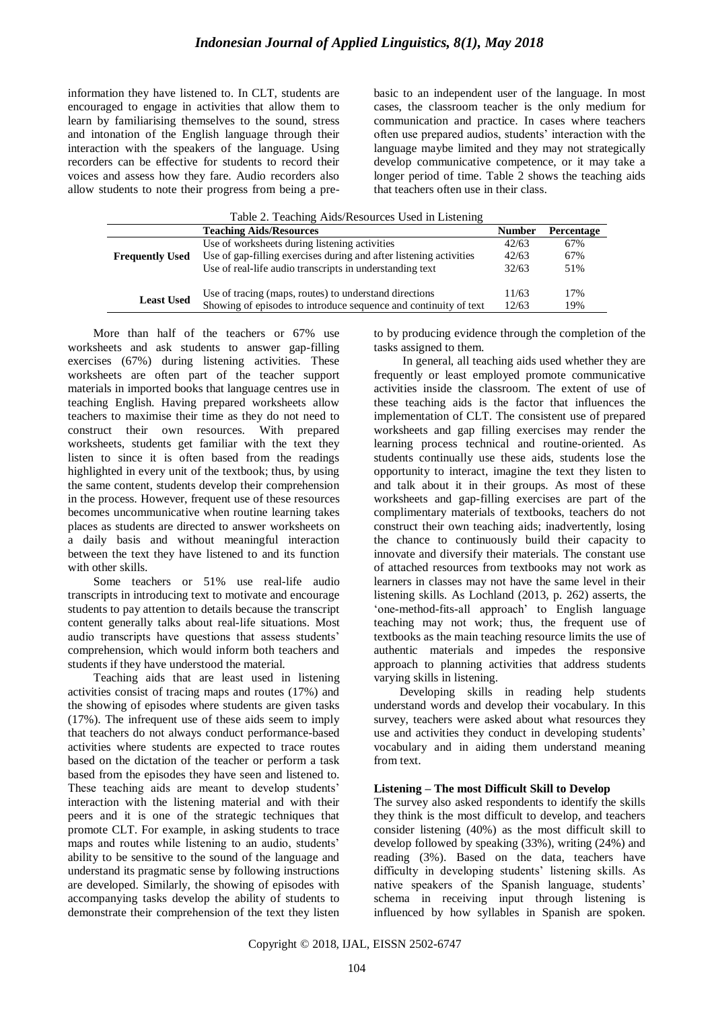information they have listened to. In CLT, students are encouraged to engage in activities that allow them to learn by familiarising themselves to the sound, stress and intonation of the English language through their interaction with the speakers of the language. Using recorders can be effective for students to record their voices and assess how they fare. Audio recorders also allow students to note their progress from being a prebasic to an independent user of the language. In most cases, the classroom teacher is the only medium for communication and practice. In cases where teachers often use prepared audios, students" interaction with the language maybe limited and they may not strategically develop communicative competence, or it may take a longer period of time. Table 2 shows the teaching aids that teachers often use in their class.

|                                | Table 2. Teaching Aids/Resources Used in Listening                 |               |            |
|--------------------------------|--------------------------------------------------------------------|---------------|------------|
| <b>Teaching Aids/Resources</b> |                                                                    | <b>Number</b> | Percentage |
|                                | Use of worksheets during listening activities                      | 42/63         | 67%        |
| <b>Frequently Used</b>         | Use of gap-filling exercises during and after listening activities | 42/63         | 67%        |
|                                | Use of real-life audio transcripts in understanding text           | 32/63         | 51%        |
|                                |                                                                    |               |            |
| <b>Least Used</b>              | Use of tracing (maps, routes) to understand directions             | 11/63         | 17%        |
|                                | Showing of episodes to introduce sequence and continuity of text   | 12/63         | 19%        |

More than half of the teachers or 67% use worksheets and ask students to answer gap-filling exercises (67%) during listening activities. These worksheets are often part of the teacher support materials in imported books that language centres use in teaching English. Having prepared worksheets allow teachers to maximise their time as they do not need to construct their own resources. With prepared worksheets, students get familiar with the text they listen to since it is often based from the readings highlighted in every unit of the textbook; thus, by using the same content, students develop their comprehension in the process. However, frequent use of these resources becomes uncommunicative when routine learning takes places as students are directed to answer worksheets on a daily basis and without meaningful interaction between the text they have listened to and its function with other skills.

Some teachers or 51% use real-life audio transcripts in introducing text to motivate and encourage students to pay attention to details because the transcript content generally talks about real-life situations. Most audio transcripts have questions that assess students" comprehension, which would inform both teachers and students if they have understood the material.

Teaching aids that are least used in listening activities consist of tracing maps and routes (17%) and the showing of episodes where students are given tasks (17%). The infrequent use of these aids seem to imply that teachers do not always conduct performance-based activities where students are expected to trace routes based on the dictation of the teacher or perform a task based from the episodes they have seen and listened to. These teaching aids are meant to develop students' interaction with the listening material and with their peers and it is one of the strategic techniques that promote CLT. For example, in asking students to trace maps and routes while listening to an audio, students' ability to be sensitive to the sound of the language and understand its pragmatic sense by following instructions are developed. Similarly, the showing of episodes with accompanying tasks develop the ability of students to demonstrate their comprehension of the text they listen to by producing evidence through the completion of the tasks assigned to them.

In general, all teaching aids used whether they are frequently or least employed promote communicative activities inside the classroom. The extent of use of these teaching aids is the factor that influences the implementation of CLT. The consistent use of prepared worksheets and gap filling exercises may render the learning process technical and routine-oriented. As students continually use these aids, students lose the opportunity to interact, imagine the text they listen to and talk about it in their groups. As most of these worksheets and gap-filling exercises are part of the complimentary materials of textbooks, teachers do not construct their own teaching aids; inadvertently, losing the chance to continuously build their capacity to innovate and diversify their materials. The constant use of attached resources from textbooks may not work as learners in classes may not have the same level in their listening skills. As Lochland (2013, p. 262) asserts, the "one-method-fits-all approach" to English language teaching may not work; thus, the frequent use of textbooks as the main teaching resource limits the use of authentic materials and impedes the responsive approach to planning activities that address students varying skills in listening.

Developing skills in reading help students understand words and develop their vocabulary. In this survey, teachers were asked about what resources they use and activities they conduct in developing students' vocabulary and in aiding them understand meaning from text.

## **Listening – The most Difficult Skill to Develop**

The survey also asked respondents to identify the skills they think is the most difficult to develop, and teachers consider listening (40%) as the most difficult skill to develop followed by speaking (33%), writing (24%) and reading (3%). Based on the data, teachers have difficulty in developing students' listening skills. As native speakers of the Spanish language, students' schema in receiving input through listening is influenced by how syllables in Spanish are spoken.

Copyright © 2018, IJAL, EISSN [2502-6747](http://u.lipi.go.id/1435827202)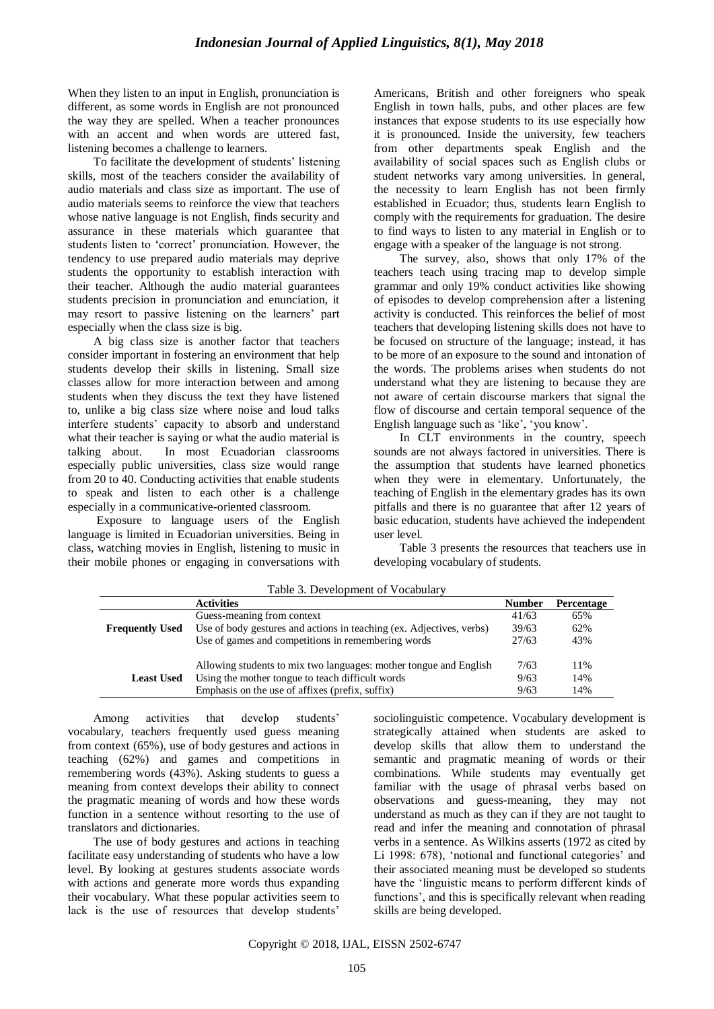When they listen to an input in English, pronunciation is different, as some words in English are not pronounced the way they are spelled. When a teacher pronounces with an accent and when words are uttered fast, listening becomes a challenge to learners.

To facilitate the development of students' listening skills, most of the teachers consider the availability of audio materials and class size as important. The use of audio materials seems to reinforce the view that teachers whose native language is not English, finds security and assurance in these materials which guarantee that students listen to 'correct' pronunciation. However, the tendency to use prepared audio materials may deprive students the opportunity to establish interaction with their teacher. Although the audio material guarantees students precision in pronunciation and enunciation, it may resort to passive listening on the learners" part especially when the class size is big.

A big class size is another factor that teachers consider important in fostering an environment that help students develop their skills in listening. Small size classes allow for more interaction between and among students when they discuss the text they have listened to, unlike a big class size where noise and loud talks interfere students" capacity to absorb and understand what their teacher is saying or what the audio material is talking about. In most Ecuadorian classrooms especially public universities, class size would range from 20 to 40. Conducting activities that enable students to speak and listen to each other is a challenge especially in a communicative-oriented classroom.

Exposure to language users of the English language is limited in Ecuadorian universities. Being in class, watching movies in English, listening to music in their mobile phones or engaging in conversations with Americans, British and other foreigners who speak English in town halls, pubs, and other places are few instances that expose students to its use especially how it is pronounced. Inside the university, few teachers from other departments speak English and the availability of social spaces such as English clubs or student networks vary among universities. In general, the necessity to learn English has not been firmly established in Ecuador; thus, students learn English to comply with the requirements for graduation. The desire to find ways to listen to any material in English or to engage with a speaker of the language is not strong.

The survey, also, shows that only 17% of the teachers teach using tracing map to develop simple grammar and only 19% conduct activities like showing of episodes to develop comprehension after a listening activity is conducted. This reinforces the belief of most teachers that developing listening skills does not have to be focused on structure of the language; instead, it has to be more of an exposure to the sound and intonation of the words. The problems arises when students do not understand what they are listening to because they are not aware of certain discourse markers that signal the flow of discourse and certain temporal sequence of the English language such as 'like', 'you know'.

In CLT environments in the country, speech sounds are not always factored in universities. There is the assumption that students have learned phonetics when they were in elementary. Unfortunately, the teaching of English in the elementary grades has its own pitfalls and there is no guarantee that after 12 years of basic education, students have achieved the independent user level.

Table 3 presents the resources that teachers use in developing vocabulary of students.

|                        | <b>Activities</b>                                                    | <b>Number</b> | Percentage |
|------------------------|----------------------------------------------------------------------|---------------|------------|
|                        | Guess-meaning from context                                           | 41/63         | 65%        |
| <b>Frequently Used</b> | Use of body gestures and actions in teaching (ex. Adjectives, verbs) | 39/63         | 62%        |
|                        | Use of games and competitions in remembering words                   | 27/63         | 43%        |
|                        | Allowing students to mix two languages: mother tongue and English    | 7/63          | 11%        |
| <b>Least Used</b>      | Using the mother tongue to teach difficult words                     | 9/63          | 14%        |
|                        | Emphasis on the use of affixes (prefix, suffix)                      | 9/63          | 14%        |
|                        |                                                                      |               |            |

Table 3. Development of Vocabulary

Among activities that develop students' vocabulary, teachers frequently used guess meaning from context (65%), use of body gestures and actions in teaching (62%) and games and competitions in remembering words (43%). Asking students to guess a meaning from context develops their ability to connect the pragmatic meaning of words and how these words function in a sentence without resorting to the use of translators and dictionaries.

The use of body gestures and actions in teaching facilitate easy understanding of students who have a low level. By looking at gestures students associate words with actions and generate more words thus expanding their vocabulary. What these popular activities seem to lack is the use of resources that develop students'

sociolinguistic competence. Vocabulary development is strategically attained when students are asked to develop skills that allow them to understand the semantic and pragmatic meaning of words or their combinations. While students may eventually get familiar with the usage of phrasal verbs based on observations and guess-meaning, they may not understand as much as they can if they are not taught to read and infer the meaning and connotation of phrasal verbs in a sentence. As Wilkins asserts (1972 as cited by Li 1998: 678), 'notional and functional categories' and their associated meaning must be developed so students have the "linguistic means to perform different kinds of functions', and this is specifically relevant when reading skills are being developed.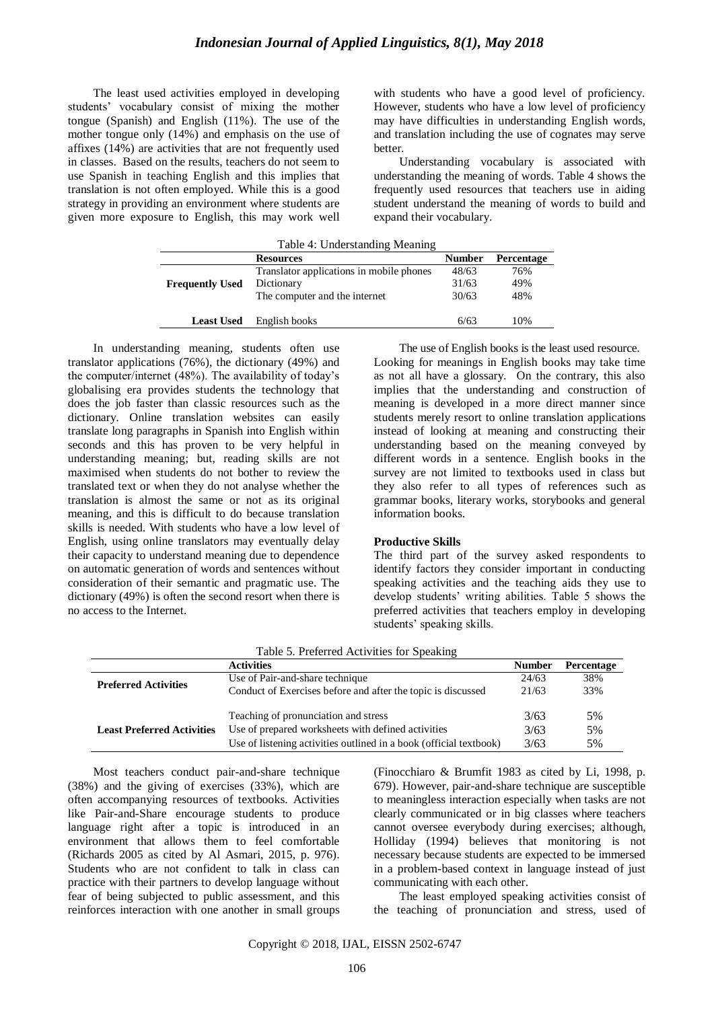The least used activities employed in developing students" vocabulary consist of mixing the mother tongue (Spanish) and English (11%). The use of the mother tongue only (14%) and emphasis on the use of affixes (14%) are activities that are not frequently used in classes. Based on the results, teachers do not seem to use Spanish in teaching English and this implies that translation is not often employed. While this is a good strategy in providing an environment where students are given more exposure to English, this may work well with students who have a good level of proficiency. However, students who have a low level of proficiency may have difficulties in understanding English words, and translation including the use of cognates may serve better.

Understanding vocabulary is associated with understanding the meaning of words. Table 4 shows the frequently used resources that teachers use in aiding student understand the meaning of words to build and expand their vocabulary.

| Table 4: Understanding Meaning                         |                                          |       |     |  |
|--------------------------------------------------------|------------------------------------------|-------|-----|--|
| <b>Number</b><br><b>Percentage</b><br><b>Resources</b> |                                          |       |     |  |
|                                                        | Translator applications in mobile phones | 48/63 | 76% |  |
| <b>Frequently Used</b>                                 | Dictionary                               | 31/63 | 49% |  |
|                                                        | The computer and the internet            | 30/63 | 48% |  |
| <b>Least Used</b>                                      | English books                            | 6/63  | 10% |  |

In understanding meaning, students often use translator applications (76%), the dictionary (49%) and the computer/internet (48%). The availability of today"s globalising era provides students the technology that does the job faster than classic resources such as the dictionary. Online translation websites can easily translate long paragraphs in Spanish into English within seconds and this has proven to be very helpful in understanding meaning; but, reading skills are not maximised when students do not bother to review the translated text or when they do not analyse whether the translation is almost the same or not as its original meaning, and this is difficult to do because translation skills is needed. With students who have a low level of English, using online translators may eventually delay their capacity to understand meaning due to dependence on automatic generation of words and sentences without consideration of their semantic and pragmatic use. The dictionary (49%) is often the second resort when there is no access to the Internet.

The use of English books is the least used resource.

Looking for meanings in English books may take time as not all have a glossary. On the contrary, this also implies that the understanding and construction of meaning is developed in a more direct manner since students merely resort to online translation applications instead of looking at meaning and constructing their understanding based on the meaning conveyed by different words in a sentence. English books in the survey are not limited to textbooks used in class but they also refer to all types of references such as grammar books, literary works, storybooks and general information books.

#### **Productive Skills**

The third part of the survey asked respondents to identify factors they consider important in conducting speaking activities and the teaching aids they use to develop students" writing abilities. Table 5 shows the preferred activities that teachers employ in developing students' speaking skills.

|                                   | <b>Activities</b>                                                  | <b>Number</b> | Percentage |
|-----------------------------------|--------------------------------------------------------------------|---------------|------------|
| <b>Preferred Activities</b>       | Use of Pair-and-share technique                                    | 24/63         | 38%        |
|                                   | Conduct of Exercises before and after the topic is discussed       | 21/63         | 33%        |
|                                   |                                                                    |               |            |
|                                   | Teaching of pronunciation and stress                               | 3/63          | .5%        |
| <b>Least Preferred Activities</b> | Use of prepared worksheets with defined activities                 | 3/63          | .5%        |
|                                   | Use of listening activities outlined in a book (official textbook) | 3/63          | 5%         |

|  |  | Table 5. Preferred Activities for Speaking |  |  |
|--|--|--------------------------------------------|--|--|
|--|--|--------------------------------------------|--|--|

Most teachers conduct pair-and-share technique (38%) and the giving of exercises (33%), which are often accompanying resources of textbooks. Activities like Pair-and-Share encourage students to produce language right after a topic is introduced in an environment that allows them to feel comfortable (Richards 2005 as cited by Al Asmari, 2015, p. 976). Students who are not confident to talk in class can practice with their partners to develop language without fear of being subjected to public assessment, and this reinforces interaction with one another in small groups (Finocchiaro & Brumfit 1983 as cited by Li, 1998, p. 679). However, pair-and-share technique are susceptible to meaningless interaction especially when tasks are not clearly communicated or in big classes where teachers cannot oversee everybody during exercises; although, Holliday (1994) believes that monitoring is not necessary because students are expected to be immersed in a problem-based context in language instead of just communicating with each other.

The least employed speaking activities consist of the teaching of pronunciation and stress, used of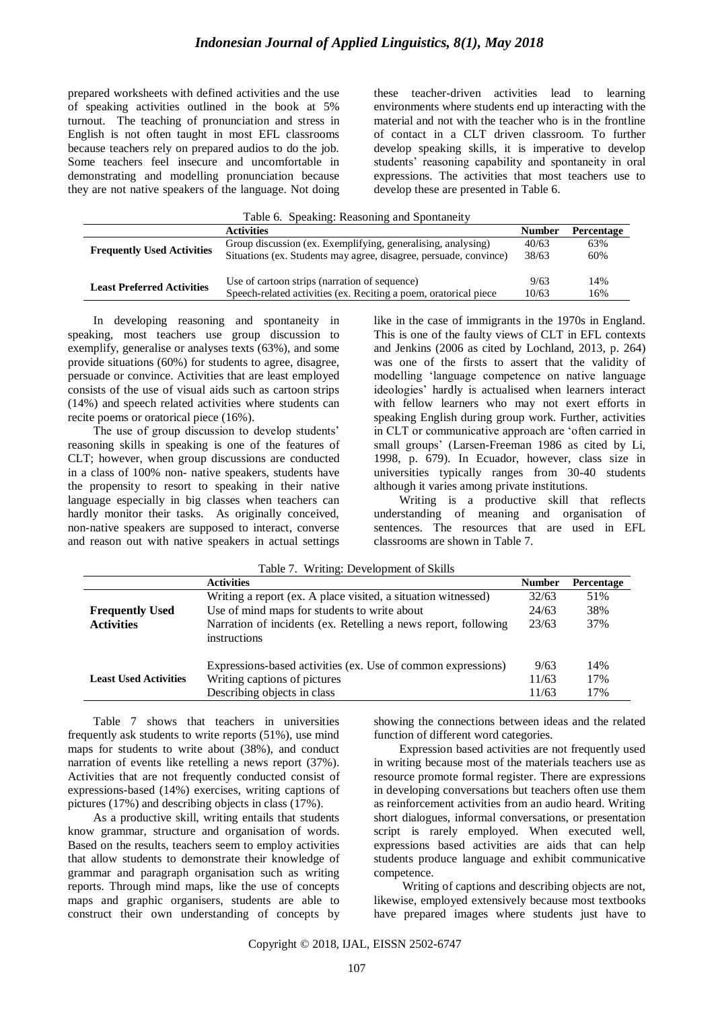prepared worksheets with defined activities and the use of speaking activities outlined in the book at 5% turnout. The teaching of pronunciation and stress in English is not often taught in most EFL classrooms because teachers rely on prepared audios to do the job. Some teachers feel insecure and uncomfortable in demonstrating and modelling pronunciation because they are not native speakers of the language. Not doing these teacher-driven activities lead to learning environments where students end up interacting with the material and not with the teacher who is in the frontline of contact in a CLT driven classroom. To further develop speaking skills, it is imperative to develop students' reasoning capability and spontaneity in oral expressions. The activities that most teachers use to develop these are presented in Table 6.

|  | Table 6. Speaking: Reasoning and Spontaneity |  |
|--|----------------------------------------------|--|
|  |                                              |  |

|                                   | <b>Activities</b>                                                 | <b>Number</b> | Percentage |
|-----------------------------------|-------------------------------------------------------------------|---------------|------------|
| <b>Frequently Used Activities</b> | Group discussion (ex. Exemplifying, generalising, analysing)      | 40/63         | 63%        |
|                                   | Situations (ex. Students may agree, disagree, persuade, convince) | 38/63         | 60%        |
|                                   |                                                                   |               |            |
| <b>Least Preferred Activities</b> | Use of cartoon strips (narration of sequence)                     | 9/63          | 14%        |
|                                   | Speech-related activities (ex. Reciting a poem, oratorical piece  | 10/63         | 16%        |

In developing reasoning and spontaneity in speaking, most teachers use group discussion to exemplify, generalise or analyses texts (63%), and some provide situations (60%) for students to agree, disagree, persuade or convince. Activities that are least employed consists of the use of visual aids such as cartoon strips (14%) and speech related activities where students can recite poems or oratorical piece (16%).

The use of group discussion to develop students' reasoning skills in speaking is one of the features of CLT; however, when group discussions are conducted in a class of 100% non- native speakers, students have the propensity to resort to speaking in their native language especially in big classes when teachers can hardly monitor their tasks. As originally conceived, non-native speakers are supposed to interact, converse and reason out with native speakers in actual settings

like in the case of immigrants in the 1970s in England. This is one of the faulty views of CLT in EFL contexts and Jenkins (2006 as cited by Lochland, 2013, p. 264) was one of the firsts to assert that the validity of modelling "language competence on native language ideologies" hardly is actualised when learners interact with fellow learners who may not exert efforts in speaking English during group work. Further, activities in CLT or communicative approach are "often carried in small groups' (Larsen-Freeman 1986 as cited by Li, 1998, p. 679). In Ecuador, however, class size in universities typically ranges from 30-40 students although it varies among private institutions.

Writing is a productive skill that reflects understanding of meaning and organisation of sentences. The resources that are used in EFL classrooms are shown in Table 7.

| Table 7. Willing. Development of SKIIIS |                                                                                              |               |            |  |
|-----------------------------------------|----------------------------------------------------------------------------------------------|---------------|------------|--|
|                                         | <b>Activities</b>                                                                            | <b>Number</b> | Percentage |  |
|                                         | Writing a report (ex. A place visited, a situation witnessed)                                | 32/63         | 51%        |  |
| <b>Frequently Used</b>                  | Use of mind maps for students to write about                                                 | 24/63         | 38%        |  |
| <b>Activities</b>                       | Narration of incidents (ex. Retelling a news report, following<br>instructions               | 23/63         | 37%        |  |
| <b>Least Used Activities</b>            | Expressions-based activities (ex. Use of common expressions)<br>Writing captions of pictures | 9/63<br>11/63 | 14%<br>17% |  |
|                                         | Describing objects in class                                                                  | 11/63         | 17%        |  |

Table 7. Writing: Development of Skills

Table 7 shows that teachers in universities frequently ask students to write reports (51%), use mind maps for students to write about (38%), and conduct narration of events like retelling a news report (37%). Activities that are not frequently conducted consist of expressions-based (14%) exercises, writing captions of pictures (17%) and describing objects in class (17%).

As a productive skill, writing entails that students know grammar, structure and organisation of words. Based on the results, teachers seem to employ activities that allow students to demonstrate their knowledge of grammar and paragraph organisation such as writing reports. Through mind maps, like the use of concepts maps and graphic organisers, students are able to construct their own understanding of concepts by showing the connections between ideas and the related function of different word categories.

Expression based activities are not frequently used in writing because most of the materials teachers use as resource promote formal register. There are expressions in developing conversations but teachers often use them as reinforcement activities from an audio heard. Writing short dialogues, informal conversations, or presentation script is rarely employed. When executed well, expressions based activities are aids that can help students produce language and exhibit communicative competence.

Writing of captions and describing objects are not, likewise, employed extensively because most textbooks have prepared images where students just have to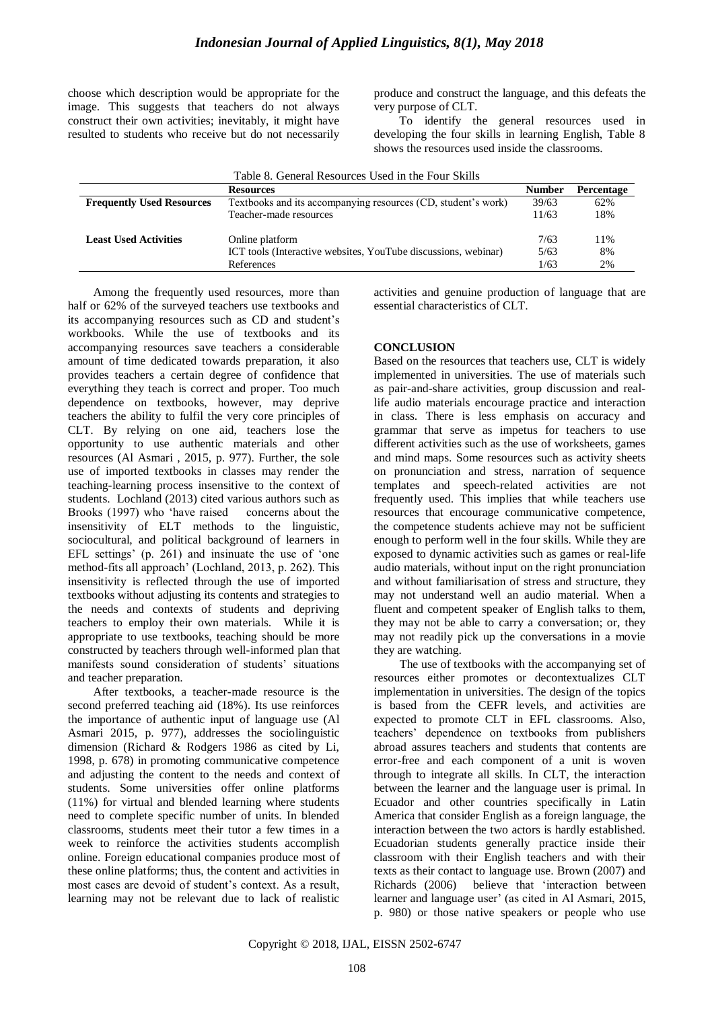choose which description would be appropriate for the image. This suggests that teachers do not always construct their own activities; inevitably, it might have resulted to students who receive but do not necessarily produce and construct the language, and this defeats the very purpose of CLT.

To identify the general resources used in developing the four skills in learning English, Table 8 shows the resources used inside the classrooms.

| Table 8. General Resources Used in the Four Skills |                                                                |       |                   |
|----------------------------------------------------|----------------------------------------------------------------|-------|-------------------|
| <b>Resources</b>                                   |                                                                |       | <b>Percentage</b> |
| <b>Frequently Used Resources</b>                   | Textbooks and its accompanying resources (CD, student's work)  | 39/63 | 62%               |
|                                                    | Teacher-made resources                                         | 11/63 | 18%               |
| <b>Least Used Activities</b>                       | Online platform                                                | 7/63  | 11%               |
|                                                    | ICT tools (Interactive websites, YouTube discussions, webinar) | 5/63  | 8%                |
|                                                    | References                                                     | 1/63  | 2%                |

Among the frequently used resources, more than half or 62% of the surveyed teachers use textbooks and its accompanying resources such as CD and student"s workbooks. While the use of textbooks and its accompanying resources save teachers a considerable amount of time dedicated towards preparation, it also provides teachers a certain degree of confidence that everything they teach is correct and proper. Too much dependence on textbooks, however, may deprive teachers the ability to fulfil the very core principles of CLT. By relying on one aid, teachers lose the opportunity to use authentic materials and other resources (Al Asmari , 2015, p. 977). Further, the sole use of imported textbooks in classes may render the teaching-learning process insensitive to the context of students. Lochland (2013) cited various authors such as Brooks (1997) who "have raised concerns about the insensitivity of ELT methods to the linguistic, sociocultural, and political background of learners in EFL settings' (p. 261) and insinuate the use of 'one method-fits all approach" (Lochland, 2013, p. 262). This insensitivity is reflected through the use of imported textbooks without adjusting its contents and strategies to the needs and contexts of students and depriving teachers to employ their own materials. While it is appropriate to use textbooks, teaching should be more constructed by teachers through well-informed plan that manifests sound consideration of students' situations and teacher preparation.

After textbooks, a teacher-made resource is the second preferred teaching aid (18%). Its use reinforces the importance of authentic input of language use (Al Asmari 2015, p. 977), addresses the sociolinguistic dimension (Richard & Rodgers 1986 as cited by Li, 1998, p. 678) in promoting communicative competence and adjusting the content to the needs and context of students. Some universities offer online platforms (11%) for virtual and blended learning where students need to complete specific number of units. In blended classrooms, students meet their tutor a few times in a week to reinforce the activities students accomplish online. Foreign educational companies produce most of these online platforms; thus, the content and activities in most cases are devoid of student"s context. As a result, learning may not be relevant due to lack of realistic activities and genuine production of language that are essential characteristics of CLT.

#### **CONCLUSION**

Based on the resources that teachers use, CLT is widely implemented in universities. The use of materials such as pair-and-share activities, group discussion and reallife audio materials encourage practice and interaction in class. There is less emphasis on accuracy and grammar that serve as impetus for teachers to use different activities such as the use of worksheets, games and mind maps. Some resources such as activity sheets on pronunciation and stress, narration of sequence templates and speech-related activities are not frequently used. This implies that while teachers use resources that encourage communicative competence, the competence students achieve may not be sufficient enough to perform well in the four skills. While they are exposed to dynamic activities such as games or real-life audio materials, without input on the right pronunciation and without familiarisation of stress and structure, they may not understand well an audio material. When a fluent and competent speaker of English talks to them, they may not be able to carry a conversation; or, they may not readily pick up the conversations in a movie they are watching.

The use of textbooks with the accompanying set of resources either promotes or decontextualizes CLT implementation in universities. The design of the topics is based from the CEFR levels, and activities are expected to promote CLT in EFL classrooms. Also, teachers" dependence on textbooks from publishers abroad assures teachers and students that contents are error-free and each component of a unit is woven through to integrate all skills. In CLT, the interaction between the learner and the language user is primal. In Ecuador and other countries specifically in Latin America that consider English as a foreign language, the interaction between the two actors is hardly established. Ecuadorian students generally practice inside their classroom with their English teachers and with their texts as their contact to language use. Brown (2007) and Richards (2006) believe that "interaction between learner and language user' (as cited in Al Asmari, 2015, p. 980) or those native speakers or people who use

Copyright © 2018, IJAL, EISSN [2502-6747](http://u.lipi.go.id/1435827202)